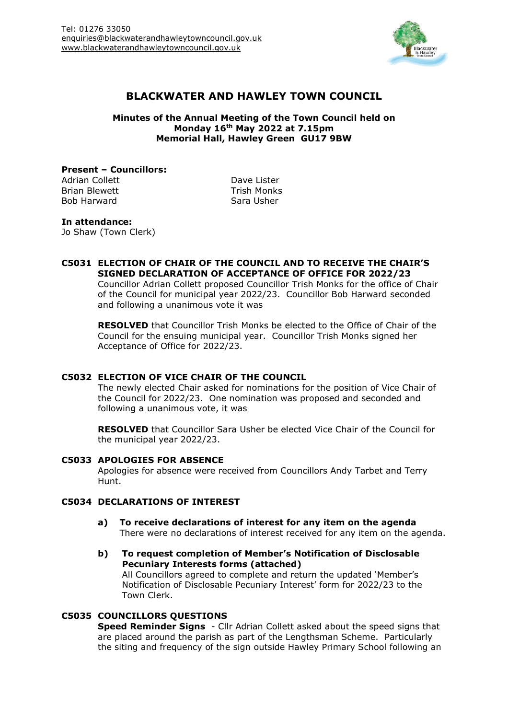

# **BLACKWATER AND HAWLEY TOWN COUNCIL**

**Minutes of the Annual Meeting of the Town Council held on Monday 16th May 2022 at 7.15pm Memorial Hall, Hawley Green GU17 9BW**

**Present – Councillors:** Adrian Collett **Dave Lister** 

Brian Blewett **Trish Monks** Bob Harward Sara Usher

### **In attendance:**

Jo Shaw (Town Clerk)

#### **C5031 ELECTION OF CHAIR OF THE COUNCIL AND TO RECEIVE THE CHAIR'S SIGNED DECLARATION OF ACCEPTANCE OF OFFICE FOR 2022/23**

Councillor Adrian Collett proposed Councillor Trish Monks for the office of Chair of the Council for municipal year 2022/23. Councillor Bob Harward seconded and following a unanimous vote it was

**RESOLVED** that Councillor Trish Monks be elected to the Office of Chair of the Council for the ensuing municipal year. Councillor Trish Monks signed her Acceptance of Office for 2022/23.

### **C5032 ELECTION OF VICE CHAIR OF THE COUNCIL**

The newly elected Chair asked for nominations for the position of Vice Chair of the Council for 2022/23. One nomination was proposed and seconded and following a unanimous vote, it was

**RESOLVED** that Councillor Sara Usher be elected Vice Chair of the Council for the municipal year 2022/23.

### **C5033 APOLOGIES FOR ABSENCE**

Apologies for absence were received from Councillors Andy Tarbet and Terry Hunt.

## **C5034 DECLARATIONS OF INTEREST**

- **a) To receive declarations of interest for any item on the agenda** There were no declarations of interest received for any item on the agenda.
- **b) To request completion of Member's Notification of Disclosable Pecuniary Interests forms (attached)** All Councillors agreed to complete and return the updated 'Member's Notification of Disclosable Pecuniary Interest' form for 2022/23 to the Town Clerk.

# **C5035 COUNCILLORS QUESTIONS**

**Speed Reminder Signs** - Cllr Adrian Collett asked about the speed signs that are placed around the parish as part of the Lengthsman Scheme. Particularly the siting and frequency of the sign outside Hawley Primary School following an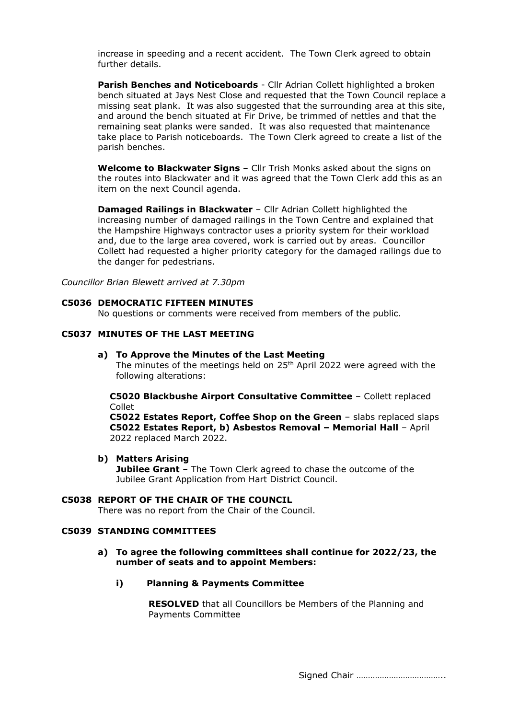increase in speeding and a recent accident. The Town Clerk agreed to obtain further details.

**Parish Benches and Noticeboards** - Cllr Adrian Collett highlighted a broken bench situated at Jays Nest Close and requested that the Town Council replace a missing seat plank. It was also suggested that the surrounding area at this site, and around the bench situated at Fir Drive, be trimmed of nettles and that the remaining seat planks were sanded. It was also requested that maintenance take place to Parish noticeboards. The Town Clerk agreed to create a list of the parish benches.

**Welcome to Blackwater Signs** – Cllr Trish Monks asked about the signs on the routes into Blackwater and it was agreed that the Town Clerk add this as an item on the next Council agenda.

**Damaged Railings in Blackwater** – Cllr Adrian Collett highlighted the increasing number of damaged railings in the Town Centre and explained that the Hampshire Highways contractor uses a priority system for their workload and, due to the large area covered, work is carried out by areas. Councillor Collett had requested a higher priority category for the damaged railings due to the danger for pedestrians.

*Councillor Brian Blewett arrived at 7.30pm*

#### **C5036 DEMOCRATIC FIFTEEN MINUTES**

No questions or comments were received from members of the public.

# **C5037 MINUTES OF THE LAST MEETING**

#### **a) To Approve the Minutes of the Last Meeting**

The minutes of the meetings held on 25<sup>th</sup> April 2022 were agreed with the following alterations:

**C5020 Blackbushe Airport Consultative Committee** – Collett replaced Collet

**C5022 Estates Report, Coffee Shop on the Green** – slabs replaced slaps **C5022 Estates Report, b) Asbestos Removal – Memorial Hall** – April 2022 replaced March 2022.

#### **b) Matters Arising**

**Jubilee Grant** - The Town Clerk agreed to chase the outcome of the Jubilee Grant Application from Hart District Council.

# **C5038 REPORT OF THE CHAIR OF THE COUNCIL**

There was no report from the Chair of the Council.

### **C5039 STANDING COMMITTEES**

#### **a) To agree the following committees shall continue for 2022/23, the number of seats and to appoint Members:**

### **i) Planning & Payments Committee**

**RESOLVED** that all Councillors be Members of the Planning and Payments Committee

Signed Chair ………………………………..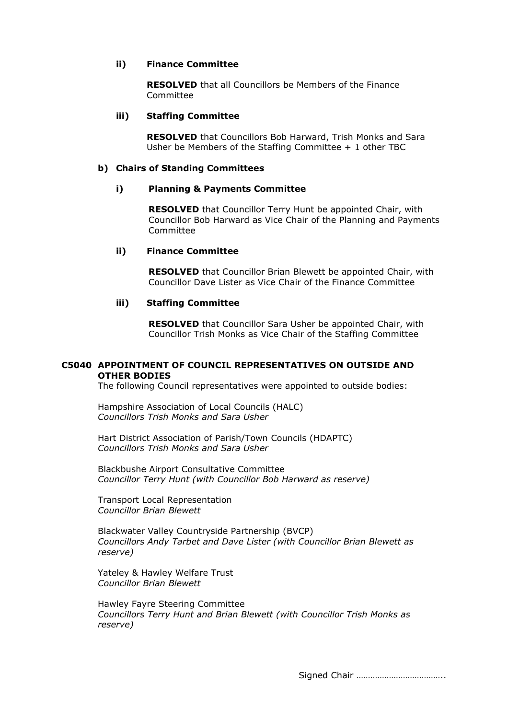### **ii) Finance Committee**

**RESOLVED** that all Councillors be Members of the Finance Committee

#### **iii) Staffing Committee**

**RESOLVED** that Councillors Bob Harward, Trish Monks and Sara Usher be Members of the Staffing Committee + 1 other TBC

#### **b) Chairs of Standing Committees**

#### **i) Planning & Payments Committee**

**RESOLVED** that Councillor Terry Hunt be appointed Chair, with Councillor Bob Harward as Vice Chair of the Planning and Payments Committee

#### **ii) Finance Committee**

**RESOLVED** that Councillor Brian Blewett be appointed Chair, with Councillor Dave Lister as Vice Chair of the Finance Committee

### **iii) Staffing Committee**

**RESOLVED** that Councillor Sara Usher be appointed Chair, with Councillor Trish Monks as Vice Chair of the Staffing Committee

### **C5040 APPOINTMENT OF COUNCIL REPRESENTATIVES ON OUTSIDE AND OTHER BODIES**

The following Council representatives were appointed to outside bodies:

Hampshire Association of Local Councils (HALC) *Councillors Trish Monks and Sara Usher*

Hart District Association of Parish/Town Councils (HDAPTC) *Councillors Trish Monks and Sara Usher*

Blackbushe Airport Consultative Committee *Councillor Terry Hunt (with Councillor Bob Harward as reserve)*

Transport Local Representation *Councillor Brian Blewett*

Blackwater Valley Countryside Partnership (BVCP) *Councillors Andy Tarbet and Dave Lister (with Councillor Brian Blewett as reserve)*

Yateley & Hawley Welfare Trust *Councillor Brian Blewett*

Hawley Fayre Steering Committee *Councillors Terry Hunt and Brian Blewett (with Councillor Trish Monks as reserve)*

Signed Chair ………………………………..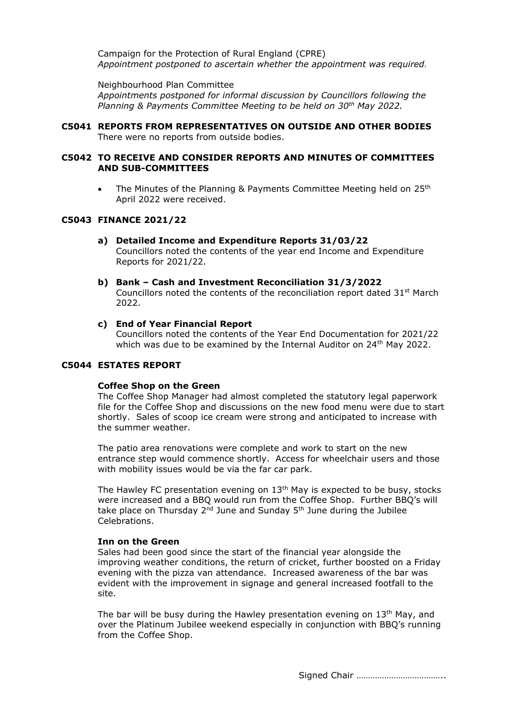Campaign for the Protection of Rural England (CPRE) *Appointment postponed to ascertain whether the appointment was required.*

Neighbourhood Plan Committee *Appointments postponed for informal discussion by Councillors following the Planning & Payments Committee Meeting to be held on 30th May 2022.*

**C5041 REPORTS FROM REPRESENTATIVES ON OUTSIDE AND OTHER BODIES** There were no reports from outside bodies.

#### **C5042 TO RECEIVE AND CONSIDER REPORTS AND MINUTES OF COMMITTEES AND SUB-COMMITTEES**

• The Minutes of the Planning & Payments Committee Meeting held on 25<sup>th</sup> April 2022 were received.

### **C5043 FINANCE 2021/22**

- **a) Detailed Income and Expenditure Reports 31/03/22** Councillors noted the contents of the year end Income and Expenditure Reports for 2021/22.
- **b) Bank – Cash and Investment Reconciliation 31/3/2022** Councillors noted the contents of the reconciliation report dated  $31^{st}$  March 2022.
- **c) End of Year Financial Report**

Councillors noted the contents of the Year End Documentation for 2021/22 which was due to be examined by the Internal Auditor on 24th May 2022.

#### **C5044 ESTATES REPORT**

#### **Coffee Shop on the Green**

The Coffee Shop Manager had almost completed the statutory legal paperwork file for the Coffee Shop and discussions on the new food menu were due to start shortly. Sales of scoop ice cream were strong and anticipated to increase with the summer weather.

The patio area renovations were complete and work to start on the new entrance step would commence shortly. Access for wheelchair users and those with mobility issues would be via the far car park.

The Hawley FC presentation evening on 13<sup>th</sup> May is expected to be busy, stocks were increased and a BBQ would run from the Coffee Shop. Further BBQ's will take place on Thursday 2<sup>nd</sup> June and Sunday 5<sup>th</sup> June during the Jubilee Celebrations.

#### **Inn on the Green**

Sales had been good since the start of the financial year alongside the improving weather conditions, the return of cricket, further boosted on a Friday evening with the pizza van attendance. Increased awareness of the bar was evident with the improvement in signage and general increased footfall to the site.

The bar will be busy during the Hawley presentation evening on 13<sup>th</sup> May, and over the Platinum Jubilee weekend especially in conjunction with BBQ's running from the Coffee Shop.

Signed Chair ………………………………..